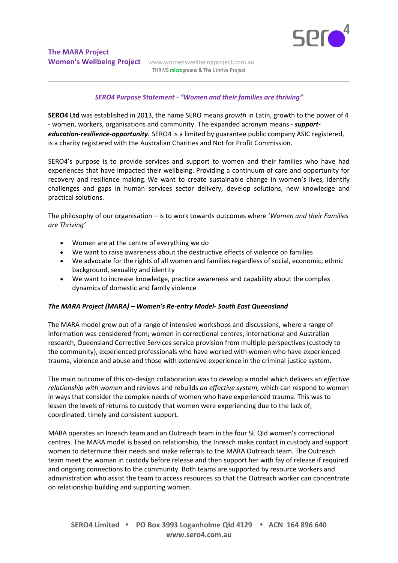

Women's Wellbeing Project www.womenswellbeingproject.com.au **THRIVE microgreens & The i.thrive Project** 

## *SERO4 Purpose Statement - "Women and their families are thriving"*

**SERO4 Ltd** was established in 2013, the name SERO means *growth* in Latin, growth to the power of 4 - women, workers, organisations and community. The expanded acronym means - *supporteducation-resilience-opportunity.* SERO4 is a limited by guarantee public company ASIC registered, is a charity registered with the Australian Charities and Not for Profit Commission.

SERO4's purpose is to provide services and support to women and their families who have had experiences that have impacted their wellbeing. Providing a continuum of care and opportunity for recovery and resilience making. We want to create sustainable change in women's lives, identify challenges and gaps in human services sector delivery, develop solutions, new knowledge and practical solutions.

The philosophy of our organisation – is to work towards outcomes where '*Women and their Families are Thriving'*

- Women are at the centre of everything we do
- We want to raise awareness about the destructive effects of violence on families
- We advocate for the rights of all women and families regardless of social, economic, ethnic background, sexuality and identity
- We want to increase knowledge, practice awareness and capability about the complex dynamics of domestic and family violence

## *The MARA Project (MARA) – Women's Re-entry Model- South East Queensland*

The MARA model grew out of a range of intensive workshops and discussions, where a range of information was considered from; women in correctional centres, international and Australian research, Queensland Corrective Services service provision from multiple perspectives (custody to the community), experienced professionals who have worked with women who have experienced trauma, violence and abuse and those with extensive experience in the criminal justice system.

The main outcome of this co-design collaboration was to develop a model which delivers an *effective relationship with women* and reviews and rebuilds *an effective system,* which can respond to women in ways that consider the complex needs of women who have experienced trauma. This was to lessen the levels of returns to custody that women were experiencing due to the lack of; coordinated, timely and consistent support.

MARA operates an Inreach team and an Outreach team in the four SE Qld women's correctional centres. The MARA model is based on relationship, the Inreach make contact in custody and support women to determine their needs and make referrals to the MARA Outreach team. The Outreach team meet the woman in custody before release and then support her with fay of release if required and ongoing connections to the community. Both teams are supported by resource workers and administration who assist the team to access resources so that the Outreach worker can concentrate on relationship building and supporting women.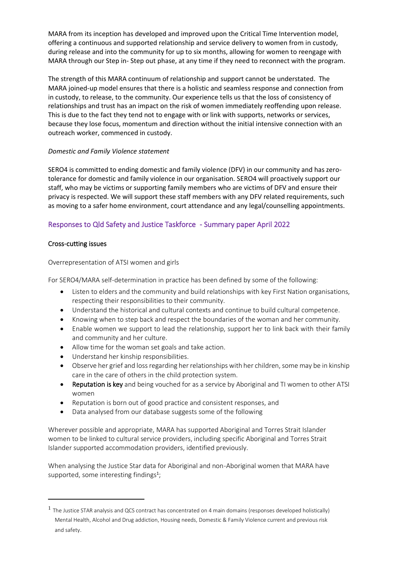MARA from its inception has developed and improved upon the Critical Time Intervention model, offering a continuous and supported relationship and service delivery to women from in custody, during release and into the community for up to six months, allowing for women to reengage with MARA through our Step in- Step out phase, at any time if they need to reconnect with the program.

The strength of this MARA continuum of relationship and support cannot be understated. The MARA joined-up model ensures that there is a holistic and seamless response and connection from in custody, to release, to the community. Our experience tells us that the loss of consistency of relationships and trust has an impact on the risk of women immediately reoffending upon release. This is due to the fact they tend not to engage with or link with supports, networks or services, because they lose focus, momentum and direction without the initial intensive connection with an outreach worker, commenced in custody.

## *Domestic and Family Violence statement*

SERO4 is committed to ending domestic and family violence (DFV) in our community and has zerotolerance for domestic and family violence in our organisation. SERO4 will proactively support our staff, who may be victims or supporting family members who are victims of DFV and ensure their privacy is respected. We will support these staff members with any DFV related requirements, such as moving to a safer home environment, court attendance and any legal/counselling appointments.

# Responses to Qld Safety and Justice Taskforce - Summary paper April 2022

## Cross-cutting issues

## Overrepresentation of ATSI women and girls

For SERO4/MARA self-determination in practice has been defined by some of the following:

- Listen to elders and the community and build relationships with key First Nation organisations, respecting their responsibilities to their community.
- Understand the historical and cultural contexts and continue to build cultural competence.
- Knowing when to step back and respect the boundaries of the woman and her community.
- Enable women we support to lead the relationship, support her to link back with their family and community and her culture.
- Allow time for the woman set goals and take action.
- Understand her kinship responsibilities.
- Observe her grief and loss regarding her relationships with her children, some may be in kinship care in the care of others in the child protection system.
- Reputation is key and being vouched for as a service by Aboriginal and TI women to other ATSI women
- Reputation is born out of good practice and consistent responses, and
- Data analysed from our database suggests some of the following

Wherever possible and appropriate, MARA has supported Aboriginal and Torres Strait Islander women to be linked to cultural service providers, including specific Aboriginal and Torres Strait Islander supported accommodation providers, identified previously.

When analysing the Justice Star data for Aboriginal and non-Aboriginal women that MARA have supported, some interesting findings<sup>1</sup>;

<sup>&</sup>lt;sup>1</sup> The Justice STAR analysis and QCS contract has concentrated on 4 main domains (responses developed holistically) Mental Health, Alcohol and Drug addiction, Housing needs, Domestic & Family Violence current and previous risk and safety.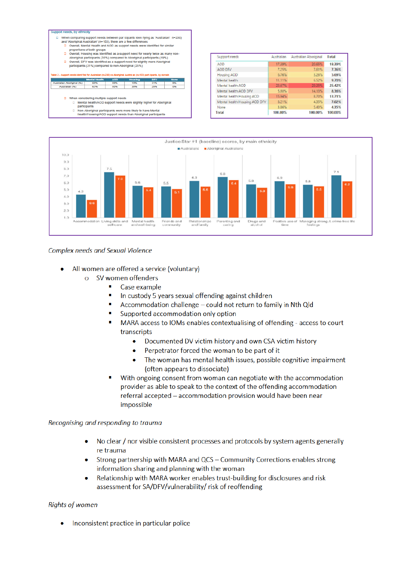$\overline{a}$ 

- When comparing support needs between par loipants iden itying as 'Australian' n=230)<br>and 'Aboriginal Australian' (n=103), there are a few differences<br><mark>D</mark> Overall, Mental Health and AOD as support needs were identified for
	- proportions of both groups Dispositions of boar 3.2-4-2<br>Overall, Housing was identified as a support need for nearly twice as many non- $\mathbf{r}$
	- Overain, involving was viewinies as a support ineed to mean y wive as maintained Aboriginal participants (35%) compared to Aboriginal participants (19%) Overall, DFV was identified as a support need for slightly more Abori
	-

|                         | <b>Montal Hoalth</b>                                                                                                                  | <b>AOD</b> | <b>Houclna</b> | <b>DFV</b> | <b>None</b> |
|-------------------------|---------------------------------------------------------------------------------------------------------------------------------------|------------|----------------|------------|-------------|
| strallan Aboriginal (%) | 60%                                                                                                                                   | 80%        | 19%            | 31%        | 0%          |
| Australian (%)          | 63%                                                                                                                                   | 80%        | 35%            | 25%        | 0%          |
| n<br>⊟                  | When considering multiple support needs<br>Mental health/AOD support needs were slightly higher for Aboriginal<br><b>participants</b> |            |                |            |             |

Non-Aboriginal participants were more likely to have Mental<br>health/Housing/AOD support needs than Aboriginal participants

| Support needs                 | Australian | <b>Australian Aboriginal</b> | Total   |
|-------------------------------|------------|------------------------------|---------|
| <b>AOD</b>                    | 17.39%     | 20.65%                       | 18.39%  |
| <b>AOD DFV</b>                | 7.25%      | 7.61%                        | 7.36%   |
| <b>Housing AOD</b>            | 6.76%      | 3.26%                        | 5.69%   |
| Mental health                 | 11.11%     | 6.52%                        | 9.70%   |
| Mental health AOD             | 23, 57%    | 29.35%                       | 25.42%  |
| Mental health AOD DFV         | 5.80%      | 14.13%                       | 8.36%   |
| Mental health Housing AOD     | 15.94%     | 8.70%                        | 13.71%  |
| Mental health Housing AOD DFV | 8.21%      | 4.35%                        | 7.02%   |
| None                          | 3.86%      | 5.43%                        | 4.35%   |
| Total                         | 100.00%    | 100,00%                      | 100.00% |



## Complex needs and Sexual Violence

- All women are offered a service (voluntary)
	- SV women offenders  $\Omega$ 
		- Case example п
		- i. In custody 5 years sexual offending against children
		- × Accommodation challenge - could not return to family in Nth Qld
		- п Supported accommodation only option
		- MARA access to IOMs enables contextualising of offending access to court ٠ transcripts
			- $\bullet$ Documented DV victim history and own CSA victim history
			- Perpetrator forced the woman to be part of it  $\bullet$
			- The woman has mental health issues, possible cognitive impairment  $\bullet$ (often appears to dissociate)
		- With ongoing consent from woman can negotiate with the accommodation r. provider as able to speak to the context of the offending accommodation referral accepted - accommodation provision would have been near impossible

Recognising and responding to trauma

- No clear / nor visible consistent processes and protocols by system agents generally re trauma
- Strong partnership with MARA and QCS Community Corrections enables strong information sharing and planning with the woman
- Relationship with MARA worker enables trust-building for disclosures and risk assessment for SA/DFV/vulnerability/ risk of reoffending

### **Rights of women**

Inconsistent practice in particular police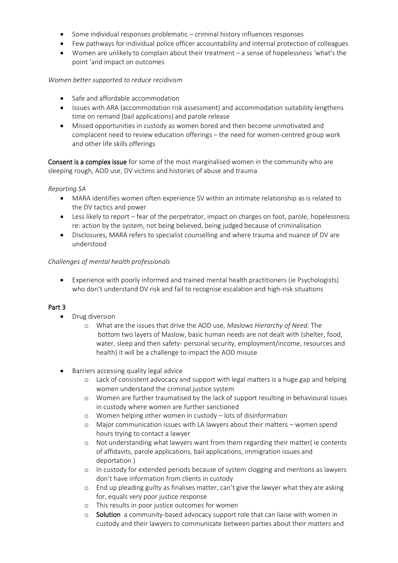- Some individual responses problematic criminal history influences responses
- Few pathways for individual police officer accountability and internal protection of colleagues
- Women are unlikely to complain about their treatment a sense of hopelessness 'what's the point 'and impact on outcomes

# *Women better supported to reduce recidivism*

- Safe and affordable accommodation
- Issues with ARA (accommodation risk assessment) and accommodation suitability lengthens time on remand (bail applications) and parole release
- Missed opportunities in custody as women bored and then become unmotivated and complacent need to review education offerings – the need for women-centred group work and other life skills offerings

Consent is a complex issue for some of the most marginalised women in the community who are sleeping rough, AOD use, DV victims and histories of abuse and trauma

## *Reporting SA*

- MARA identifies women often experience SV within an intimate relationship as is related to the DV tactics and power
- Less likely to report fear of the perpetrator, impact on charges on foot, parole, hopelessness re: action by the system, not being believed, being judged because of criminalisation
- Disclosures, MARA refers to specialist counselling and where trauma and nuance of DV are understood

# *Challenges of mental health professionals*

• Experience with poorly informed and trained mental health practitioners (ie Psychologists) who don't understand DV risk and fail to recognise escalation and high-risk situations

# Part 3

- Drug diversion
	- o What are the issues that drive the AOD use, *Maslows Hierarchy of Need.* The bottom two layers of Maslow, basic human needs are not dealt with (shelter, food, water, sleep and then safety- personal security, employment/income, resources and health) it will be a challenge to impact the AOD misuse
- Barriers accessing quality legal advice
	- o Lack of consistent advocacy and support with legal matters is a huge gap and helping women understand the criminal justice system
	- o Women are further traumatised by the lack of support resulting in behavioural issues in custody where women are further sanctioned
	- o Women helping other women in custody lots of disinformation
	- o Major communication issues with LA lawyers about their matters women spend hours trying to contact a lawyer
	- o Not understanding what lawyers want from them regarding their matter( ie contents of affidavits, parole applications, bail applications, immigration issues and deportation )
	- o In custody for extended periods because of system clogging and mentions as lawyers don't have information from clients in custody
	- o End up pleading guilty as finalises matter, can't give the lawyer what they are asking for, equals very poor justice response
	- o This results in poor justice outcomes for women
	- o Solution a community-based advocacy support role that can liaise with women in custody and their lawyers to communicate between parties about their matters and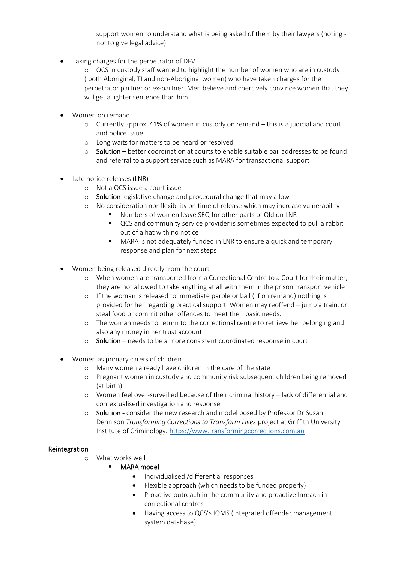support women to understand what is being asked of them by their lawyers (noting not to give legal advice)

• Taking charges for the perpetrator of DFV

o QCS in custody staff wanted to highlight the number of women who are in custody ( both Aboriginal, TI and non-Aboriginal women) who have taken charges for the perpetrator partner or ex-partner. Men believe and coercively convince women that they will get a lighter sentence than him

- Women on remand
	- o Currently approx. 41% of women in custody on remand this is a judicial and court and police issue
	- o Long waits for matters to be heard or resolved
	- $\circ$  Solution better coordination at courts to enable suitable bail addresses to be found and referral to a support service such as MARA for transactional support
- Late notice releases (LNR)
	- o Not a QCS issue a court issue
	- o Solution legislative change and procedural change that may allow
	- o No consideration nor flexibility on time of release which may increase vulnerability
		- Numbers of women leave SEQ for other parts of Qld on LNR
		- QCS and community service provider is sometimes expected to pull a rabbit out of a hat with no notice
		- MARA is not adequately funded in LNR to ensure a quick and temporary response and plan for next steps
- Women being released directly from the court
	- o When women are transported from a Correctional Centre to a Court for their matter, they are not allowed to take anything at all with them in the prison transport vehicle
	- o If the woman is released to immediate parole or bail ( if on remand) nothing is provided for her regarding practical support. Women may reoffend – jump a train, or steal food or commit other offences to meet their basic needs.
	- o The woman needs to return to the correctional centre to retrieve her belonging and also any money in her trust account
	- o Solution needs to be a more consistent coordinated response in court
- Women as primary carers of children
	- o Many women already have children in the care of the state
	- o Pregnant women in custody and community risk subsequent children being removed (at birth)
	- o Women feel over-surveilled because of their criminal history lack of differential and contextualised investigation and response
	- o Solution consider the new research and model posed by Professor Dr Susan Dennison *Transforming Corrections to Transform Lives* project at Griffith University Institute of Criminology. https://www.transformingcorrections.com.au

## Reintegration

- o What works well
	- **MARA model** 
		- Individualised /differential responses
		- Flexible approach (which needs to be funded properly)
		- Proactive outreach in the community and proactive Inreach in correctional centres
		- Having access to QCS's IOMS (Integrated offender management system database)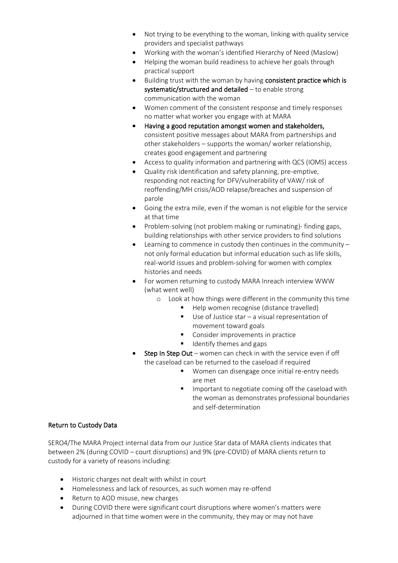- Not trying to be everything to the woman, linking with quality service providers and specialist pathways
- Working with the woman's identified Hierarchy of Need (Maslow)
- Helping the woman build readiness to achieve her goals through practical support
- Building trust with the woman by having consistent practice which is systematic/structured and detailed – to enable strong communication with the woman
- Women comment of the consistent response and timely responses no matter what worker you engage with at MARA
- Having a good reputation amongst women and stakeholders, consistent positive messages about MARA from partnerships and other stakeholders – supports the woman/ worker relationship, creates good engagement and partnering
- Access to quality information and partnering with QCS (IOMS) access
- Quality risk identification and safety planning, pre-emptive, responding not reacting for DFV/vulnerability of VAW/ risk of reoffending/MH crisis/AOD relapse/breaches and suspension of parole
- Going the extra mile, even if the woman is not eligible for the service at that time
- Problem-solving (not problem making or ruminating)- finding gaps, building relationships with other service providers to find solutions
- Learning to commence in custody then continues in the community not only formal education but informal education such as life skills, real-world issues and problem-solving for women with complex histories and needs
- For women returning to custody MARA Inreach interview WWW (what went well)
	- o Look at how things were different in the community this time
		- Help women recognise (distance travelled)
		- Use of Justice star a visual representation of movement toward goals
		- Consider improvements in practice
		- Identify themes and gaps
- Step In Step Out women can check in with the service even if off the caseload can be returned to the caseload if required
	- Women can disengage once initial re-entry needs are met
	- Important to negotiate coming off the caseload with the woman as demonstrates professional boundaries and self-determination

## Return to Custody Data

SERO4/The MARA Project internal data from our Justice Star data of MARA clients indicates that between 2% (during COVID – court disruptions) and 9% (pre-COVID) of MARA clients return to custody for a variety of reasons including:

- Historic charges not dealt with whilst in court
- Homelessness and lack of resources, as such women may re-offend
- Return to AOD misuse, new charges
- During COVID there were significant court disruptions where women's matters were adjourned in that time women were in the community, they may or may not have